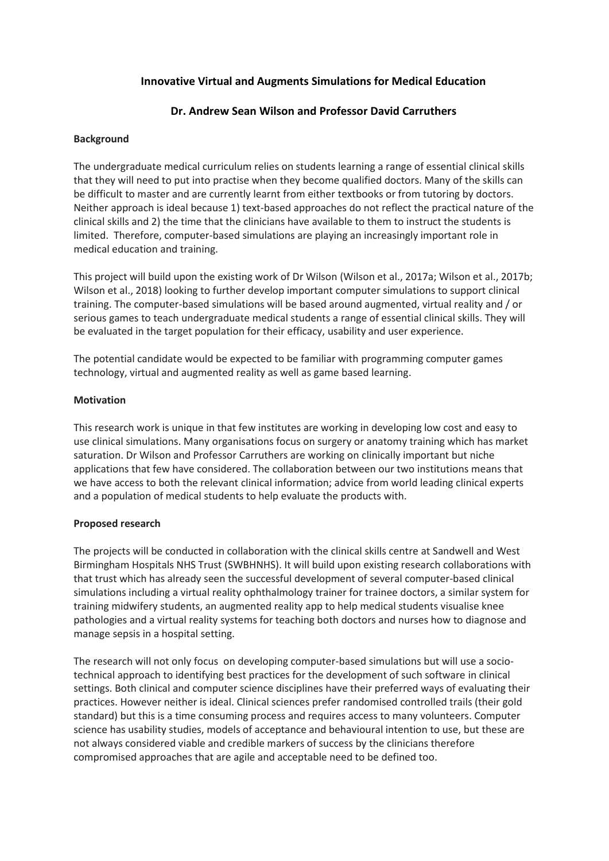# **Innovative Virtual and Augments Simulations for Medical Education**

# **Dr. Andrew Sean Wilson and Professor David Carruthers**

### **Background**

The undergraduate medical curriculum relies on students learning a range of essential clinical skills that they will need to put into practise when they become qualified doctors. Many of the skills can be difficult to master and are currently learnt from either textbooks or from tutoring by doctors. Neither approach is ideal because 1) text-based approaches do not reflect the practical nature of the clinical skills and 2) the time that the clinicians have available to them to instruct the students is limited. Therefore, computer-based simulations are playing an increasingly important role in medical education and training.

This project will build upon the existing work of Dr Wilson (Wilson et al., 2017a; Wilson et al., 2017b; Wilson et al., 2018) looking to further develop important computer simulations to support clinical training. The computer-based simulations will be based around augmented, virtual reality and / or serious games to teach undergraduate medical students a range of essential clinical skills. They will be evaluated in the target population for their efficacy, usability and user experience.

The potential candidate would be expected to be familiar with programming computer games technology, virtual and augmented reality as well as game based learning.

#### **Motivation**

This research work is unique in that few institutes are working in developing low cost and easy to use clinical simulations. Many organisations focus on surgery or anatomy training which has market saturation. Dr Wilson and Professor Carruthers are working on clinically important but niche applications that few have considered. The collaboration between our two institutions means that we have access to both the relevant clinical information; advice from world leading clinical experts and a population of medical students to help evaluate the products with.

## **Proposed research**

The projects will be conducted in collaboration with the clinical skills centre at Sandwell and West Birmingham Hospitals NHS Trust (SWBHNHS). It will build upon existing research collaborations with that trust which has already seen the successful development of several computer-based clinical simulations including a virtual reality ophthalmology trainer for trainee doctors, a similar system for training midwifery students, an augmented reality app to help medical students visualise knee pathologies and a virtual reality systems for teaching both doctors and nurses how to diagnose and manage sepsis in a hospital setting.

The research will not only focus on developing computer-based simulations but will use a sociotechnical approach to identifying best practices for the development of such software in clinical settings. Both clinical and computer science disciplines have their preferred ways of evaluating their practices. However neither is ideal. Clinical sciences prefer randomised controlled trails (their gold standard) but this is a time consuming process and requires access to many volunteers. Computer science has usability studies, models of acceptance and behavioural intention to use, but these are not always considered viable and credible markers of success by the clinicians therefore compromised approaches that are agile and acceptable need to be defined too.